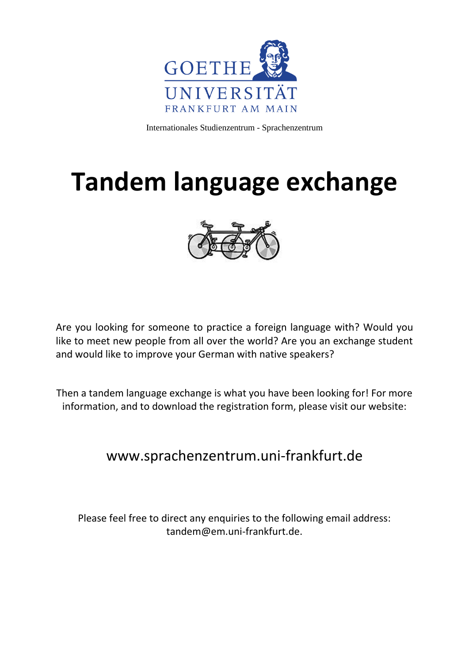

Internationales Studienzentrum - Sprachenzentrum

# **Tandem language exchange**



Are you looking for someone to practice a foreign language with? Would you like to meet new people from all over the world? Are you an exchange student and would like to improve your German with native speakers?

Then a tandem language exchange is what you have been looking for! For more information, and to download the registration form, please visit our website:

#### www.sprachenzentrum.uni-frankfurt.de

Please feel free to direct any enquiries to the following email address: tandem@em.uni-frankfurt.de.